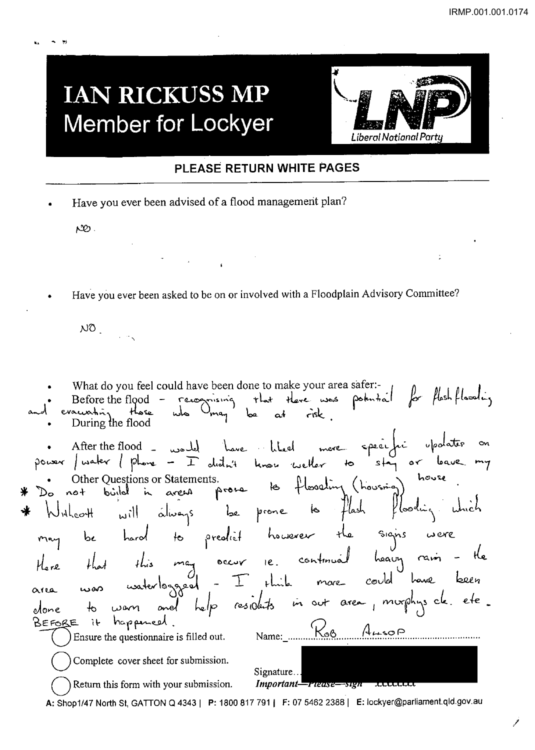## **IAN RICKUSS MP Member for Lockyer**



## PLEASE RETURN WHITE PAGES

Have you ever been advised of a flood management plan?

 $\infty$ .

Have you ever been asked to be on or involved with a Floodplain Advisory Committee?

 $N0$ 

What do you feel could have been done to make your area safer:recognising that there was potential for floshflooding Before the flood  $$ who  $O_{\text{mag}}$ evacuation those  $\mathbf{b}$ a  $\alpha$ During the flood · After the flood - would have liked more specific upodater on<br>power / water / phone - I didn't know wetter to stay or leave my Other Questions or Statements.<br>not bijld in areas prone to flooding (housing) house  $not$ flooding which  $H_{\rm bol}$ hard to predict however the signs were<br>at this may occur ie continual heavy rain - the<br>a waterlogged - I think more could have been  $bc$ unterlogged **wan** and help residents in out area, morphysick. etc.  $\frac{1}{\sqrt{2}}$ wan olone it happened BEFORE Name: Koo ALSOP Ensure the questionnaire is filled out. Complete cover sheet for submission. Signature... Important-riease-sign xxxxxxxx Return this form with your submission. A: Shop1/47 North St, GATTON Q 4343 | P: 1800 817 791 | F: 07 5462 2388 | E: lockyer@parliament.qld.gov.au

لو